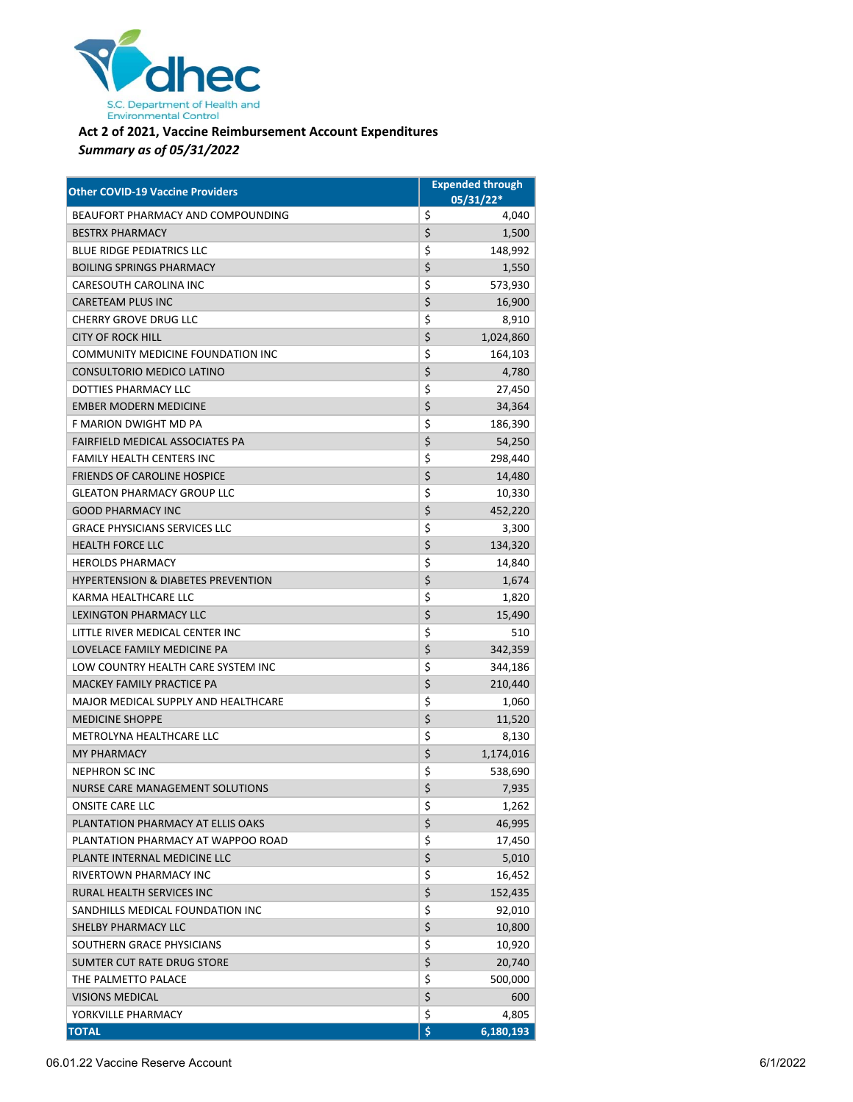

## **Act 2 of 2021, Vaccine Reimbursement Account Expenditures** *Summary as of 05/31/2022*

| <b>Other COVID-19 Vaccine Providers</b>       | <b>Expended through</b> |
|-----------------------------------------------|-------------------------|
|                                               | 05/31/22*               |
| BEAUFORT PHARMACY AND COMPOUNDING             | \$<br>4,040             |
| <b>BESTRX PHARMACY</b>                        | \$<br>1,500             |
| <b>BLUE RIDGE PEDIATRICS LLC</b>              | \$<br>148,992           |
| <b>BOILING SPRINGS PHARMACY</b>               | \$<br>1,550             |
| <b>CARESOUTH CAROLINA INC</b>                 | \$<br>573,930           |
| <b>CARETEAM PLUS INC</b>                      | \$<br>16,900            |
| <b>CHERRY GROVE DRUG LLC</b>                  | \$<br>8,910             |
| <b>CITY OF ROCK HILL</b>                      | \$<br>1,024,860         |
| COMMUNITY MEDICINE FOUNDATION INC             | \$<br>164,103           |
| CONSULTORIO MEDICO LATINO                     | \$<br>4,780             |
| DOTTIES PHARMACY LLC                          | \$<br>27,450            |
| <b>EMBER MODERN MEDICINE</b>                  | \$<br>34,364            |
| F MARION DWIGHT MD PA                         | \$<br>186,390           |
| FAIRFIELD MEDICAL ASSOCIATES PA               | \$<br>54,250            |
| <b>FAMILY HEALTH CENTERS INC</b>              | \$<br>298,440           |
| <b>FRIENDS OF CAROLINE HOSPICE</b>            | \$<br>14,480            |
| <b>GLEATON PHARMACY GROUP LLC</b>             | \$<br>10,330            |
| <b>GOOD PHARMACY INC</b>                      | \$<br>452,220           |
| <b>GRACE PHYSICIANS SERVICES LLC</b>          | \$<br>3,300             |
| <b>HEALTH FORCE LLC</b>                       | \$<br>134,320           |
| <b>HEROLDS PHARMACY</b>                       | \$<br>14,840            |
| <b>HYPERTENSION &amp; DIABETES PREVENTION</b> | \$<br>1,674             |
| <b>KARMA HEALTHCARE LLC</b>                   | \$<br>1,820             |
| <b>LEXINGTON PHARMACY LLC</b>                 | \$<br>15,490            |
| LITTLE RIVER MEDICAL CENTER INC               | \$<br>510               |
| LOVELACE FAMILY MEDICINE PA                   | \$<br>342,359           |
| LOW COUNTRY HEALTH CARE SYSTEM INC            | \$<br>344,186           |
| MACKEY FAMILY PRACTICE PA                     | \$<br>210,440           |
| MAJOR MEDICAL SUPPLY AND HEALTHCARE           | \$<br>1,060             |
| <b>MEDICINE SHOPPE</b>                        | \$<br>11,520            |
| METROLYNA HEALTHCARE LLC                      | \$<br>8,130             |
| <b>MY PHARMACY</b>                            | \$<br>1,174,016         |
| <b>NEPHRON SCINC</b>                          | \$<br>538,690           |
| <b>NURSE CARE MANAGEMENT SOLUTIONS</b>        | \$<br>7,935             |
| ONSITE CARE LLC                               | \$<br>1,262             |
| PLANTATION PHARMACY AT ELLIS OAKS             | \$<br>46,995            |
| PLANTATION PHARMACY AT WAPPOO ROAD            | \$<br>17,450            |
| PLANTE INTERNAL MEDICINE LLC                  | \$<br>5,010             |
| RIVERTOWN PHARMACY INC                        | \$<br>16,452            |
| RURAL HEALTH SERVICES INC                     | \$<br>152,435           |
| SANDHILLS MEDICAL FOUNDATION INC              | \$<br>92,010            |
| SHELBY PHARMACY LLC                           | \$<br>10,800            |
| SOUTHERN GRACE PHYSICIANS                     | \$<br>10,920            |
| SUMTER CUT RATE DRUG STORE                    | \$<br>20,740            |
| THE PALMETTO PALACE                           | \$<br>500,000           |
| <b>VISIONS MEDICAL</b>                        | \$<br>600               |
| YORKVILLE PHARMACY                            | \$<br>4,805             |
| <b>TOTAL</b>                                  | \$<br>6,180,193         |